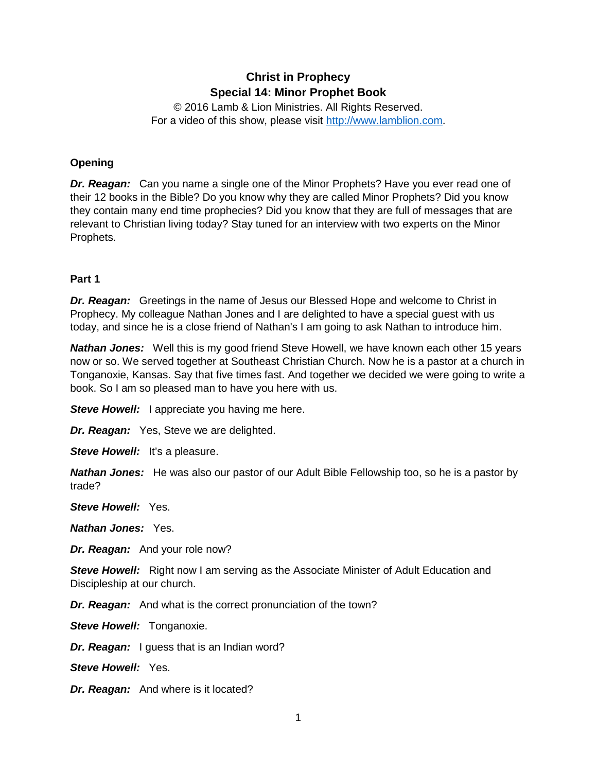# **Christ in Prophecy Special 14: Minor Prophet Book**

© 2016 Lamb & Lion Ministries. All Rights Reserved. For a video of this show, please visit [http://www.lamblion.com.](http://www.lamblion.com/)

## **Opening**

*Dr. Reagan:* Can you name a single one of the Minor Prophets? Have you ever read one of their 12 books in the Bible? Do you know why they are called Minor Prophets? Did you know they contain many end time prophecies? Did you know that they are full of messages that are relevant to Christian living today? Stay tuned for an interview with two experts on the Minor Prophets.

#### **Part 1**

*Dr. Reagan:* Greetings in the name of Jesus our Blessed Hope and welcome to Christ in Prophecy. My colleague Nathan Jones and I are delighted to have a special guest with us today, and since he is a close friend of Nathan's I am going to ask Nathan to introduce him.

**Nathan Jones:** Well this is my good friend Steve Howell, we have known each other 15 years now or so. We served together at Southeast Christian Church. Now he is a pastor at a church in Tonganoxie, Kansas. Say that five times fast. And together we decided we were going to write a book. So I am so pleased man to have you here with us.

*Steve Howell:* I appreciate you having me here.

*Dr. Reagan:* Yes, Steve we are delighted.

**Steve Howell:** It's a pleasure.

*Nathan Jones:* He was also our pastor of our Adult Bible Fellowship too, so he is a pastor by trade?

*Steve Howell:* Yes.

*Nathan Jones:* Yes.

*Dr. Reagan:* And your role now?

**Steve Howell:** Right now I am serving as the Associate Minister of Adult Education and Discipleship at our church.

*Dr. Reagan:* And what is the correct pronunciation of the town?

**Steve Howell: Tonganoxie.** 

*Dr. Reagan:* I guess that is an Indian word?

*Steve Howell:* Yes.

*Dr. Reagan:* And where is it located?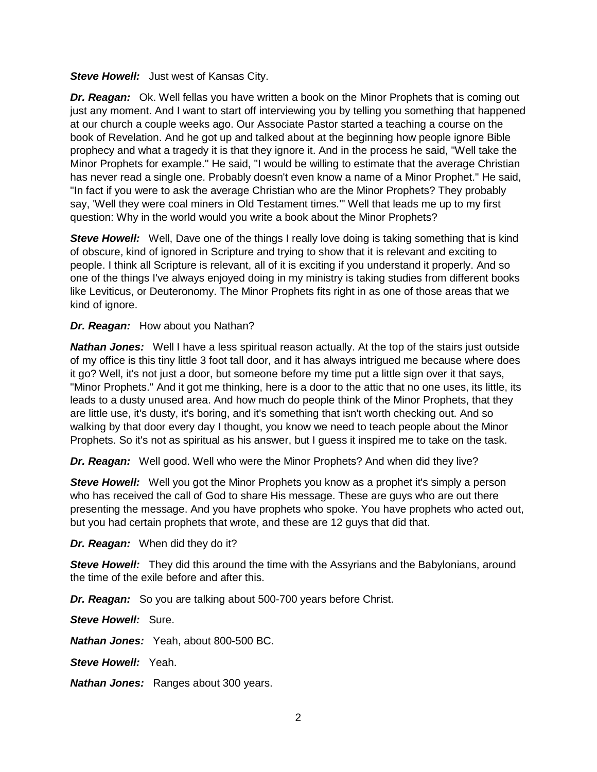**Steve Howell:** Just west of Kansas City.

*Dr. Reagan:* Ok. Well fellas you have written a book on the Minor Prophets that is coming out just any moment. And I want to start off interviewing you by telling you something that happened at our church a couple weeks ago. Our Associate Pastor started a teaching a course on the book of Revelation. And he got up and talked about at the beginning how people ignore Bible prophecy and what a tragedy it is that they ignore it. And in the process he said, "Well take the Minor Prophets for example." He said, "I would be willing to estimate that the average Christian has never read a single one. Probably doesn't even know a name of a Minor Prophet." He said, "In fact if you were to ask the average Christian who are the Minor Prophets? They probably say, 'Well they were coal miners in Old Testament times.'" Well that leads me up to my first question: Why in the world would you write a book about the Minor Prophets?

**Steve Howell:** Well, Dave one of the things I really love doing is taking something that is kind of obscure, kind of ignored in Scripture and trying to show that it is relevant and exciting to people. I think all Scripture is relevant, all of it is exciting if you understand it properly. And so one of the things I've always enjoyed doing in my ministry is taking studies from different books like Leviticus, or Deuteronomy. The Minor Prophets fits right in as one of those areas that we kind of ignore.

#### *Dr. Reagan:* How about you Nathan?

**Nathan Jones:** Well I have a less spiritual reason actually. At the top of the stairs just outside of my office is this tiny little 3 foot tall door, and it has always intrigued me because where does it go? Well, it's not just a door, but someone before my time put a little sign over it that says, "Minor Prophets." And it got me thinking, here is a door to the attic that no one uses, its little, its leads to a dusty unused area. And how much do people think of the Minor Prophets, that they are little use, it's dusty, it's boring, and it's something that isn't worth checking out. And so walking by that door every day I thought, you know we need to teach people about the Minor Prophets. So it's not as spiritual as his answer, but I guess it inspired me to take on the task.

*Dr. Reagan:* Well good. Well who were the Minor Prophets? And when did they live?

**Steve Howell:** Well you got the Minor Prophets you know as a prophet it's simply a person who has received the call of God to share His message. These are guys who are out there presenting the message. And you have prophets who spoke. You have prophets who acted out, but you had certain prophets that wrote, and these are 12 guys that did that.

*Dr. Reagan:* When did they do it?

**Steve Howell:** They did this around the time with the Assyrians and the Babylonians, around the time of the exile before and after this.

*Dr. Reagan:* So you are talking about 500-700 years before Christ.

*Steve Howell:* Sure.

*Nathan Jones:* Yeah, about 800-500 BC.

*Steve Howell:* Yeah.

*Nathan Jones:* Ranges about 300 years.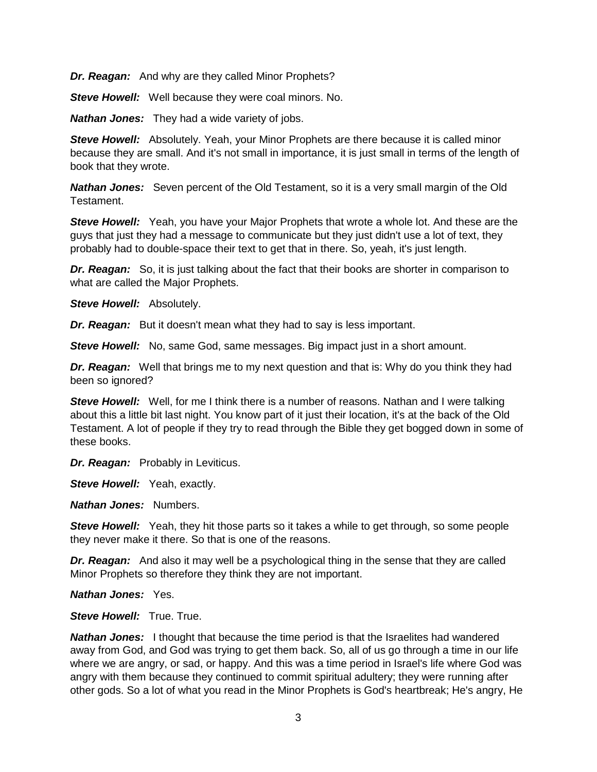*Dr. Reagan:* And why are they called Minor Prophets?

*Steve Howell:* Well because they were coal minors. No.

*Nathan Jones:* They had a wide variety of jobs.

**Steve Howell:** Absolutely. Yeah, your Minor Prophets are there because it is called minor because they are small. And it's not small in importance, it is just small in terms of the length of book that they wrote.

*Nathan Jones:* Seven percent of the Old Testament, so it is a very small margin of the Old Testament.

*Steve Howell:* Yeah, you have your Major Prophets that wrote a whole lot. And these are the guys that just they had a message to communicate but they just didn't use a lot of text, they probably had to double-space their text to get that in there. So, yeah, it's just length.

*Dr. Reagan:* So, it is just talking about the fact that their books are shorter in comparison to what are called the Major Prophets.

*Steve Howell:* Absolutely.

*Dr. Reagan:* But it doesn't mean what they had to say is less important.

*Steve Howell:* No, same God, same messages. Big impact just in a short amount.

*Dr. Reagan:* Well that brings me to my next question and that is: Why do you think they had been so ignored?

**Steve Howell:** Well, for me I think there is a number of reasons. Nathan and I were talking about this a little bit last night. You know part of it just their location, it's at the back of the Old Testament. A lot of people if they try to read through the Bible they get bogged down in some of these books.

*Dr. Reagan:* Probably in Leviticus.

**Steve Howell:** Yeah, exactly.

*Nathan Jones:* Numbers.

**Steve Howell:** Yeah, they hit those parts so it takes a while to get through, so some people they never make it there. So that is one of the reasons.

*Dr. Reagan:* And also it may well be a psychological thing in the sense that they are called Minor Prophets so therefore they think they are not important.

*Nathan Jones:* Yes.

*Steve Howell:* True. True.

*Nathan Jones:* I thought that because the time period is that the Israelites had wandered away from God, and God was trying to get them back. So, all of us go through a time in our life where we are angry, or sad, or happy. And this was a time period in Israel's life where God was angry with them because they continued to commit spiritual adultery; they were running after other gods. So a lot of what you read in the Minor Prophets is God's heartbreak; He's angry, He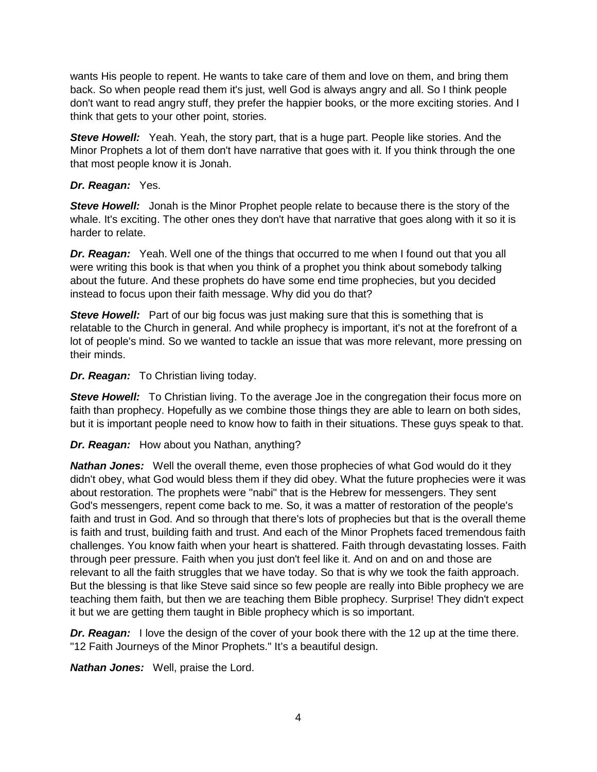wants His people to repent. He wants to take care of them and love on them, and bring them back. So when people read them it's just, well God is always angry and all. So I think people don't want to read angry stuff, they prefer the happier books, or the more exciting stories. And I think that gets to your other point, stories.

**Steve Howell:** Yeah. Yeah, the story part, that is a huge part. People like stories. And the Minor Prophets a lot of them don't have narrative that goes with it. If you think through the one that most people know it is Jonah.

#### *Dr. Reagan:* Yes.

**Steve Howell:** Jonah is the Minor Prophet people relate to because there is the story of the whale. It's exciting. The other ones they don't have that narrative that goes along with it so it is harder to relate.

*Dr. Reagan:* Yeah. Well one of the things that occurred to me when I found out that you all were writing this book is that when you think of a prophet you think about somebody talking about the future. And these prophets do have some end time prophecies, but you decided instead to focus upon their faith message. Why did you do that?

**Steve Howell:** Part of our big focus was just making sure that this is something that is relatable to the Church in general. And while prophecy is important, it's not at the forefront of a lot of people's mind. So we wanted to tackle an issue that was more relevant, more pressing on their minds.

*Dr. Reagan:* To Christian living today.

**Steve Howell:** To Christian living. To the average Joe in the congregation their focus more on faith than prophecy. Hopefully as we combine those things they are able to learn on both sides, but it is important people need to know how to faith in their situations. These guys speak to that.

#### *Dr. Reagan:* How about you Nathan, anything?

*Nathan Jones:* Well the overall theme, even those prophecies of what God would do it they didn't obey, what God would bless them if they did obey. What the future prophecies were it was about restoration. The prophets were "nabi" that is the Hebrew for messengers. They sent God's messengers, repent come back to me. So, it was a matter of restoration of the people's faith and trust in God. And so through that there's lots of prophecies but that is the overall theme is faith and trust, building faith and trust. And each of the Minor Prophets faced tremendous faith challenges. You know faith when your heart is shattered. Faith through devastating losses. Faith through peer pressure. Faith when you just don't feel like it. And on and on and those are relevant to all the faith struggles that we have today. So that is why we took the faith approach. But the blessing is that like Steve said since so few people are really into Bible prophecy we are teaching them faith, but then we are teaching them Bible prophecy. Surprise! They didn't expect it but we are getting them taught in Bible prophecy which is so important.

*Dr. Reagan:* I love the design of the cover of your book there with the 12 up at the time there. "12 Faith Journeys of the Minor Prophets." It's a beautiful design.

*Nathan Jones:* Well, praise the Lord.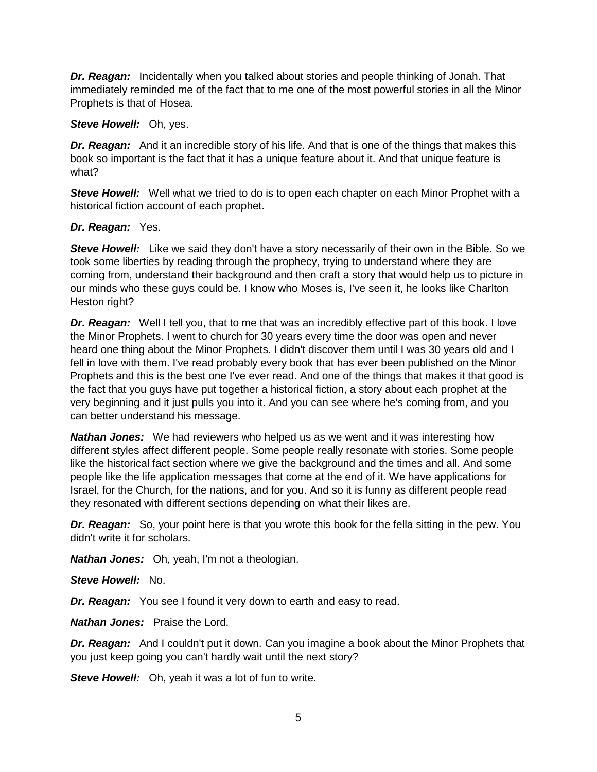*Dr. Reagan:* Incidentally when you talked about stories and people thinking of Jonah. That immediately reminded me of the fact that to me one of the most powerful stories in all the Minor Prophets is that of Hosea.

#### *Steve Howell:* Oh, yes.

*Dr. Reagan:* And it an incredible story of his life. And that is one of the things that makes this book so important is the fact that it has a unique feature about it. And that unique feature is what?

**Steve Howell:** Well what we tried to do is to open each chapter on each Minor Prophet with a historical fiction account of each prophet.

#### *Dr. Reagan:* Yes.

*Steve Howell:* Like we said they don't have a story necessarily of their own in the Bible. So we took some liberties by reading through the prophecy, trying to understand where they are coming from, understand their background and then craft a story that would help us to picture in our minds who these guys could be. I know who Moses is, I've seen it, he looks like Charlton Heston right?

*Dr. Reagan:* Well I tell you, that to me that was an incredibly effective part of this book. I love the Minor Prophets. I went to church for 30 years every time the door was open and never heard one thing about the Minor Prophets. I didn't discover them until I was 30 years old and I fell in love with them. I've read probably every book that has ever been published on the Minor Prophets and this is the best one I've ever read. And one of the things that makes it that good is the fact that you guys have put together a historical fiction, a story about each prophet at the very beginning and it just pulls you into it. And you can see where he's coming from, and you can better understand his message.

*Nathan Jones:* We had reviewers who helped us as we went and it was interesting how different styles affect different people. Some people really resonate with stories. Some people like the historical fact section where we give the background and the times and all. And some people like the life application messages that come at the end of it. We have applications for Israel, for the Church, for the nations, and for you. And so it is funny as different people read they resonated with different sections depending on what their likes are.

*Dr. Reagan:* So, your point here is that you wrote this book for the fella sitting in the pew. You didn't write it for scholars.

*Nathan Jones:* Oh, yeah, I'm not a theologian.

*Steve Howell:* No.

**Dr. Reagan:** You see I found it very down to earth and easy to read.

*Nathan Jones:* Praise the Lord.

**Dr. Reagan:** And I couldn't put it down. Can you imagine a book about the Minor Prophets that you just keep going you can't hardly wait until the next story?

**Steve Howell:** Oh, yeah it was a lot of fun to write.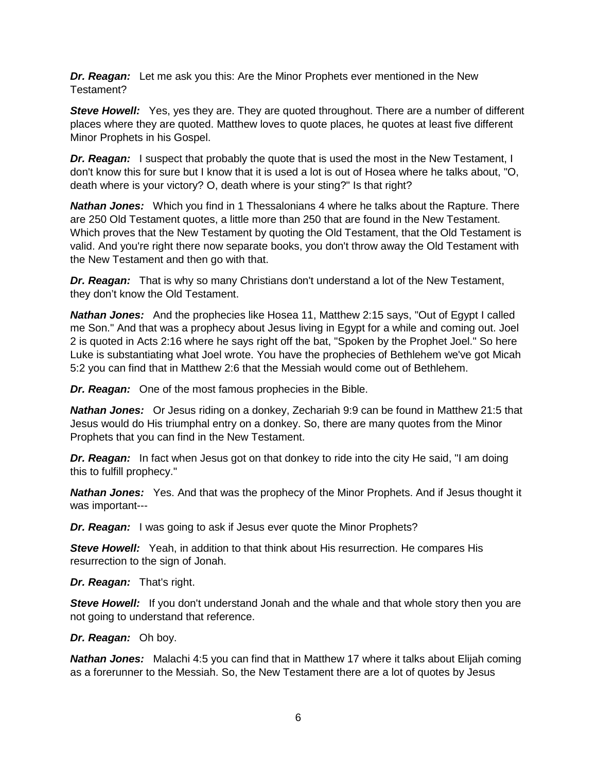*Dr. Reagan:* Let me ask you this: Are the Minor Prophets ever mentioned in the New Testament?

**Steve Howell:** Yes, yes they are. They are quoted throughout. There are a number of different places where they are quoted. Matthew loves to quote places, he quotes at least five different Minor Prophets in his Gospel.

*Dr. Reagan:* I suspect that probably the quote that is used the most in the New Testament, I don't know this for sure but I know that it is used a lot is out of Hosea where he talks about, "O, death where is your victory? O, death where is your sting?" Is that right?

*Nathan Jones:* Which you find in 1 Thessalonians 4 where he talks about the Rapture. There are 250 Old Testament quotes, a little more than 250 that are found in the New Testament. Which proves that the New Testament by quoting the Old Testament, that the Old Testament is valid. And you're right there now separate books, you don't throw away the Old Testament with the New Testament and then go with that.

*Dr. Reagan:* That is why so many Christians don't understand a lot of the New Testament, they don't know the Old Testament.

*Nathan Jones:* And the prophecies like Hosea 11, Matthew 2:15 says, "Out of Egypt I called me Son." And that was a prophecy about Jesus living in Egypt for a while and coming out. Joel 2 is quoted in Acts 2:16 where he says right off the bat, "Spoken by the Prophet Joel." So here Luke is substantiating what Joel wrote. You have the prophecies of Bethlehem we've got Micah 5:2 you can find that in Matthew 2:6 that the Messiah would come out of Bethlehem.

*Dr. Reagan:* One of the most famous prophecies in the Bible.

*Nathan Jones:* Or Jesus riding on a donkey, Zechariah 9:9 can be found in Matthew 21:5 that Jesus would do His triumphal entry on a donkey. So, there are many quotes from the Minor Prophets that you can find in the New Testament.

*Dr. Reagan:* In fact when Jesus got on that donkey to ride into the city He said, "I am doing this to fulfill prophecy."

*Nathan Jones:* Yes. And that was the prophecy of the Minor Prophets. And if Jesus thought it was important---

*Dr. Reagan:* I was going to ask if Jesus ever quote the Minor Prophets?

*Steve Howell:* Yeah, in addition to that think about His resurrection. He compares His resurrection to the sign of Jonah.

*Dr. Reagan:* That's right.

**Steve Howell:** If you don't understand Jonah and the whale and that whole story then you are not going to understand that reference.

*Dr. Reagan:* Oh boy.

*Nathan Jones:* Malachi 4:5 you can find that in Matthew 17 where it talks about Elijah coming as a forerunner to the Messiah. So, the New Testament there are a lot of quotes by Jesus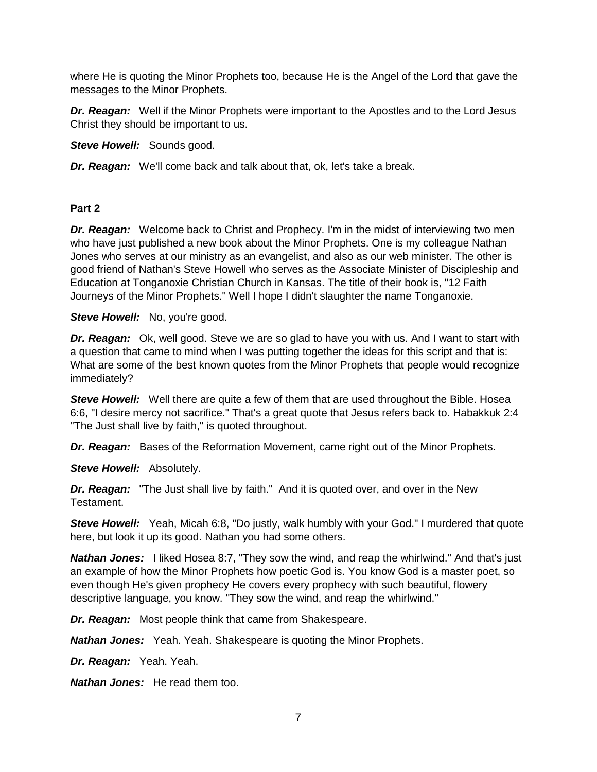where He is quoting the Minor Prophets too, because He is the Angel of the Lord that gave the messages to the Minor Prophets.

*Dr. Reagan:* Well if the Minor Prophets were important to the Apostles and to the Lord Jesus Christ they should be important to us.

*Steve Howell:* Sounds good.

*Dr. Reagan:* We'll come back and talk about that, ok, let's take a break.

## **Part 2**

**Dr. Reagan:** Welcome back to Christ and Prophecy. I'm in the midst of interviewing two men who have just published a new book about the Minor Prophets. One is my colleague Nathan Jones who serves at our ministry as an evangelist, and also as our web minister. The other is good friend of Nathan's Steve Howell who serves as the Associate Minister of Discipleship and Education at Tonganoxie Christian Church in Kansas. The title of their book is, "12 Faith Journeys of the Minor Prophets." Well I hope I didn't slaughter the name Tonganoxie.

**Steve Howell:** No, you're good.

*Dr. Reagan:* Ok, well good. Steve we are so glad to have you with us. And I want to start with a question that came to mind when I was putting together the ideas for this script and that is: What are some of the best known quotes from the Minor Prophets that people would recognize immediately?

*Steve Howell:* Well there are quite a few of them that are used throughout the Bible. Hosea 6:6, "I desire mercy not sacrifice." That's a great quote that Jesus refers back to. Habakkuk 2:4 "The Just shall live by faith," is quoted throughout.

*Dr. Reagan:* Bases of the Reformation Movement, came right out of the Minor Prophets.

*Steve Howell:* Absolutely.

*Dr. Reagan:* "The Just shall live by faith." And it is quoted over, and over in the New Testament.

**Steve Howell:** Yeah, Micah 6:8, "Do justly, walk humbly with your God." I murdered that quote here, but look it up its good. Nathan you had some others.

**Nathan Jones:** I liked Hosea 8:7, "They sow the wind, and reap the whirlwind." And that's just an example of how the Minor Prophets how poetic God is. You know God is a master poet, so even though He's given prophecy He covers every prophecy with such beautiful, flowery descriptive language, you know. "They sow the wind, and reap the whirlwind."

*Dr. Reagan:* Most people think that came from Shakespeare.

*Nathan Jones:* Yeah. Yeah. Shakespeare is quoting the Minor Prophets.

*Dr. Reagan:* Yeah. Yeah.

*Nathan Jones:* He read them too.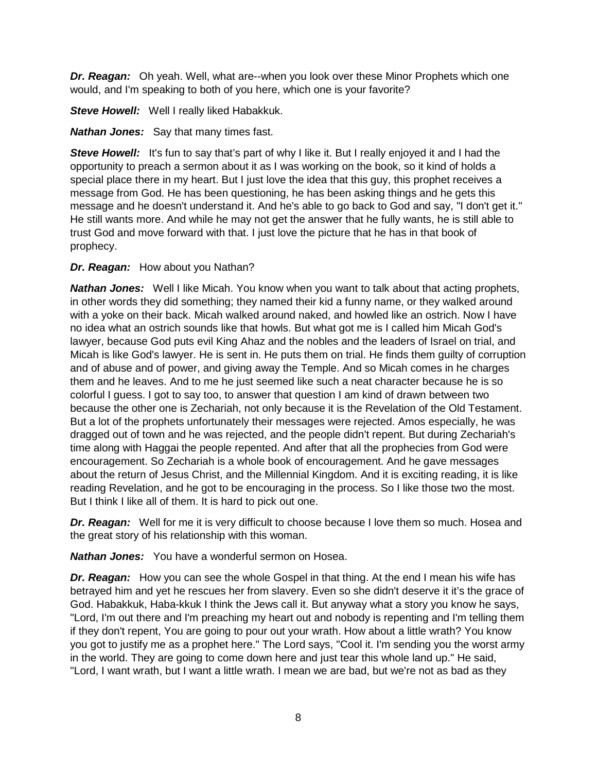*Dr. Reagan:* Oh yeah. Well, what are--when you look over these Minor Prophets which one would, and I'm speaking to both of you here, which one is your favorite?

*Steve Howell:* Well I really liked Habakkuk.

*Nathan Jones:* Say that many times fast.

**Steve Howell:** It's fun to say that's part of why I like it. But I really enjoyed it and I had the opportunity to preach a sermon about it as I was working on the book, so it kind of holds a special place there in my heart. But I just love the idea that this guy, this prophet receives a message from God. He has been questioning, he has been asking things and he gets this message and he doesn't understand it. And he's able to go back to God and say, "I don't get it." He still wants more. And while he may not get the answer that he fully wants, he is still able to trust God and move forward with that. I just love the picture that he has in that book of prophecy.

## *Dr. Reagan:* How about you Nathan?

**Nathan Jones:** Well I like Micah. You know when you want to talk about that acting prophets, in other words they did something; they named their kid a funny name, or they walked around with a yoke on their back. Micah walked around naked, and howled like an ostrich. Now I have no idea what an ostrich sounds like that howls. But what got me is I called him Micah God's lawyer, because God puts evil King Ahaz and the nobles and the leaders of Israel on trial, and Micah is like God's lawyer. He is sent in. He puts them on trial. He finds them guilty of corruption and of abuse and of power, and giving away the Temple. And so Micah comes in he charges them and he leaves. And to me he just seemed like such a neat character because he is so colorful I guess. I got to say too, to answer that question I am kind of drawn between two because the other one is Zechariah, not only because it is the Revelation of the Old Testament. But a lot of the prophets unfortunately their messages were rejected. Amos especially, he was dragged out of town and he was rejected, and the people didn't repent. But during Zechariah's time along with Haggai the people repented. And after that all the prophecies from God were encouragement. So Zechariah is a whole book of encouragement. And he gave messages about the return of Jesus Christ, and the Millennial Kingdom. And it is exciting reading, it is like reading Revelation, and he got to be encouraging in the process. So I like those two the most. But I think I like all of them. It is hard to pick out one.

*Dr. Reagan:* Well for me it is very difficult to choose because I love them so much. Hosea and the great story of his relationship with this woman.

*Nathan Jones:* You have a wonderful sermon on Hosea.

*Dr. Reagan:* How you can see the whole Gospel in that thing. At the end I mean his wife has betrayed him and yet he rescues her from slavery. Even so she didn't deserve it it's the grace of God. Habakkuk, Haba-kkuk I think the Jews call it. But anyway what a story you know he says, "Lord, I'm out there and I'm preaching my heart out and nobody is repenting and I'm telling them if they don't repent, You are going to pour out your wrath. How about a little wrath? You know you got to justify me as a prophet here." The Lord says, "Cool it. I'm sending you the worst army in the world. They are going to come down here and just tear this whole land up." He said, "Lord, I want wrath, but I want a little wrath. I mean we are bad, but we're not as bad as they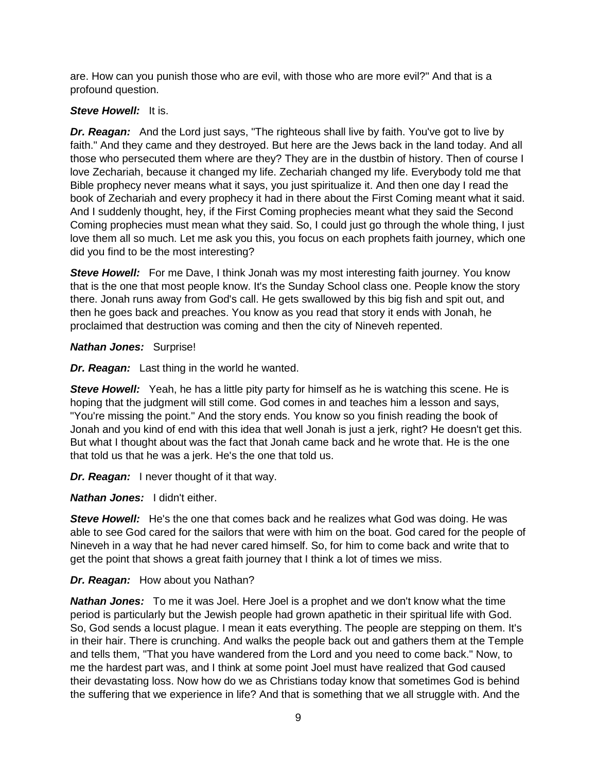are. How can you punish those who are evil, with those who are more evil?" And that is a profound question.

## *Steve Howell:* It is.

**Dr. Reagan:** And the Lord just says, "The righteous shall live by faith. You've got to live by faith." And they came and they destroyed. But here are the Jews back in the land today. And all those who persecuted them where are they? They are in the dustbin of history. Then of course I love Zechariah, because it changed my life. Zechariah changed my life. Everybody told me that Bible prophecy never means what it says, you just spiritualize it. And then one day I read the book of Zechariah and every prophecy it had in there about the First Coming meant what it said. And I suddenly thought, hey, if the First Coming prophecies meant what they said the Second Coming prophecies must mean what they said. So, I could just go through the whole thing, I just love them all so much. Let me ask you this, you focus on each prophets faith journey, which one did you find to be the most interesting?

**Steve Howell:** For me Dave, I think Jonah was my most interesting faith journey. You know that is the one that most people know. It's the Sunday School class one. People know the story there. Jonah runs away from God's call. He gets swallowed by this big fish and spit out, and then he goes back and preaches. You know as you read that story it ends with Jonah, he proclaimed that destruction was coming and then the city of Nineveh repented.

## *Nathan Jones:* Surprise!

*Dr. Reagan:* Last thing in the world he wanted.

**Steve Howell:** Yeah, he has a little pity party for himself as he is watching this scene. He is hoping that the judgment will still come. God comes in and teaches him a lesson and says, "You're missing the point." And the story ends. You know so you finish reading the book of Jonah and you kind of end with this idea that well Jonah is just a jerk, right? He doesn't get this. But what I thought about was the fact that Jonah came back and he wrote that. He is the one that told us that he was a jerk. He's the one that told us.

*Dr. Reagan:* I never thought of it that way.

*Nathan Jones:* I didn't either.

*Steve Howell:* He's the one that comes back and he realizes what God was doing. He was able to see God cared for the sailors that were with him on the boat. God cared for the people of Nineveh in a way that he had never cared himself. So, for him to come back and write that to get the point that shows a great faith journey that I think a lot of times we miss.

# *Dr. Reagan:* How about you Nathan?

*Nathan Jones:* To me it was Joel. Here Joel is a prophet and we don't know what the time period is particularly but the Jewish people had grown apathetic in their spiritual life with God. So, God sends a locust plague. I mean it eats everything. The people are stepping on them. It's in their hair. There is crunching. And walks the people back out and gathers them at the Temple and tells them, "That you have wandered from the Lord and you need to come back." Now, to me the hardest part was, and I think at some point Joel must have realized that God caused their devastating loss. Now how do we as Christians today know that sometimes God is behind the suffering that we experience in life? And that is something that we all struggle with. And the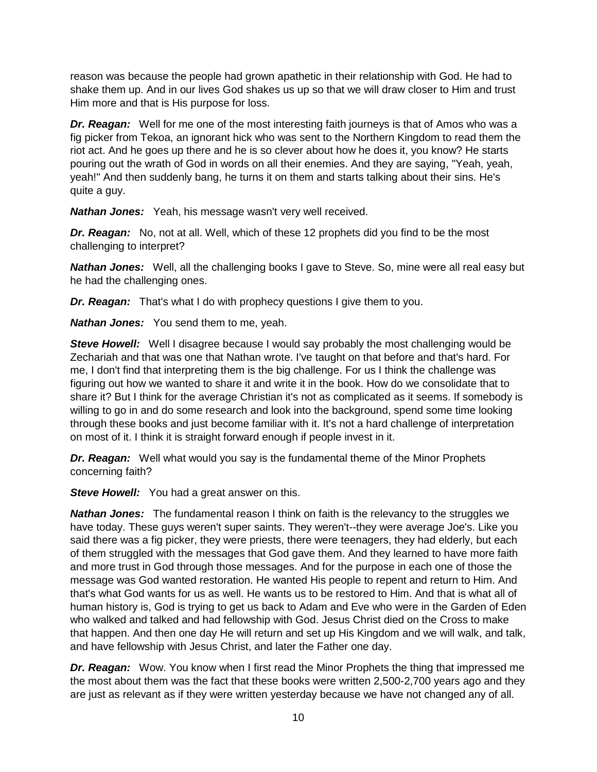reason was because the people had grown apathetic in their relationship with God. He had to shake them up. And in our lives God shakes us up so that we will draw closer to Him and trust Him more and that is His purpose for loss.

*Dr. Reagan:* Well for me one of the most interesting faith journeys is that of Amos who was a fig picker from Tekoa, an ignorant hick who was sent to the Northern Kingdom to read them the riot act. And he goes up there and he is so clever about how he does it, you know? He starts pouring out the wrath of God in words on all their enemies. And they are saying, "Yeah, yeah, yeah!" And then suddenly bang, he turns it on them and starts talking about their sins. He's quite a guy.

*Nathan Jones:* Yeah, his message wasn't very well received.

*Dr. Reagan:* No, not at all. Well, which of these 12 prophets did you find to be the most challenging to interpret?

*Nathan Jones:* Well, all the challenging books I gave to Steve. So, mine were all real easy but he had the challenging ones.

*Dr. Reagan:* That's what I do with prophecy questions I give them to you.

*Nathan Jones:* You send them to me, yeah.

*Steve Howell:* Well I disagree because I would say probably the most challenging would be Zechariah and that was one that Nathan wrote. I've taught on that before and that's hard. For me, I don't find that interpreting them is the big challenge. For us I think the challenge was figuring out how we wanted to share it and write it in the book. How do we consolidate that to share it? But I think for the average Christian it's not as complicated as it seems. If somebody is willing to go in and do some research and look into the background, spend some time looking through these books and just become familiar with it. It's not a hard challenge of interpretation on most of it. I think it is straight forward enough if people invest in it.

*Dr. Reagan:* Well what would you say is the fundamental theme of the Minor Prophets concerning faith?

**Steve Howell:** You had a great answer on this.

**Nathan Jones:** The fundamental reason I think on faith is the relevancy to the struggles we have today. These guys weren't super saints. They weren't--they were average Joe's. Like you said there was a fig picker, they were priests, there were teenagers, they had elderly, but each of them struggled with the messages that God gave them. And they learned to have more faith and more trust in God through those messages. And for the purpose in each one of those the message was God wanted restoration. He wanted His people to repent and return to Him. And that's what God wants for us as well. He wants us to be restored to Him. And that is what all of human history is, God is trying to get us back to Adam and Eve who were in the Garden of Eden who walked and talked and had fellowship with God. Jesus Christ died on the Cross to make that happen. And then one day He will return and set up His Kingdom and we will walk, and talk, and have fellowship with Jesus Christ, and later the Father one day.

*Dr. Reagan:* Wow. You know when I first read the Minor Prophets the thing that impressed me the most about them was the fact that these books were written 2,500-2,700 years ago and they are just as relevant as if they were written yesterday because we have not changed any of all.